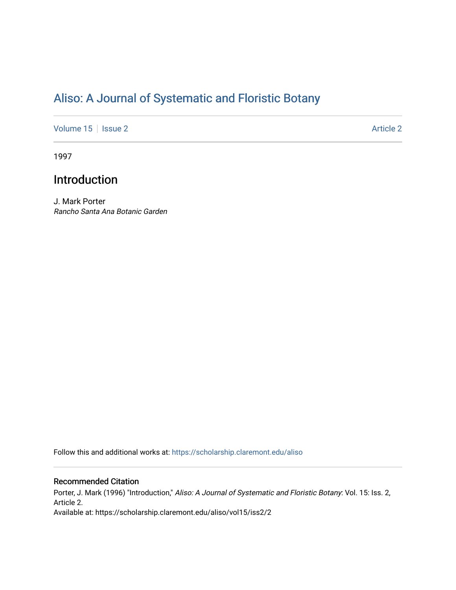# [Aliso: A Journal of Systematic and Floristic Botany](https://scholarship.claremont.edu/aliso)

[Volume 15](https://scholarship.claremont.edu/aliso/vol15) | [Issue 2](https://scholarship.claremont.edu/aliso/vol15/iss2) Article 2

1997

## Introduction

J. Mark Porter Rancho Santa Ana Botanic Garden

Follow this and additional works at: [https://scholarship.claremont.edu/aliso](https://scholarship.claremont.edu/aliso?utm_source=scholarship.claremont.edu%2Faliso%2Fvol15%2Fiss2%2F2&utm_medium=PDF&utm_campaign=PDFCoverPages) 

### Recommended Citation

Porter, J. Mark (1996) "Introduction," Aliso: A Journal of Systematic and Floristic Botany: Vol. 15: Iss. 2, Article 2. Available at: https://scholarship.claremont.edu/aliso/vol15/iss2/2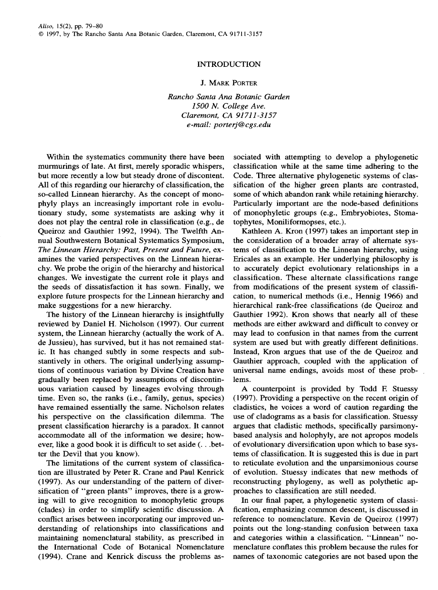### INTRODUCTION

#### J. MARK PORTER

*Rancho Santa Ana Botanic Garden 1500* N. *College Ave. Claremont, CA 91711-3157 e-mail: porterj@cgs.edu* 

Within the systematics community there have been murmurings of late. At first, merely sporadic whispers, but more recently a low but steady drone of discontent. All of this regarding our hierarchy of classification, the so-called Linnean hierarchy. As the concept of monophyly plays an increasingly important role in evolutionary study, some systematists are asking why it does not play the central role in classification (e.g., de Queiroz and Gauthier 1992, 1994). The Twelfth Annual Southwestern Botanical Systematics Symposium, *The Linnean Hierarchy: Past, Present and Future,* examines the varied perspectives on the Linnean hierarchy. We probe the origin of the hierarchy and historical changes. We investigate the current role it plays and the seeds of dissatisfaction it has sown. Finally, we explore future prospects for the Linnean hierarchy and make suggestions for a new hierarchy.

The history of the Linnean hierarchy is insightfully reviewed by Daniel H. Nicholson (1997). Our current system, the Linnean hierarchy (actually the work of A. de Jussieu), has survived, but it has not remained static. It has changed subtly in some respects and substantively in others. The original underlying assumptions of continuous variation by Divine Creation have gradually been replaced by assumptions of discontinuous variation caused by lineages evolving through time. Even so, the ranks (i.e., family, genus, species) have remained essentially the same. Nicholson relates his perspective on the classification dilemma. The present classification hierarchy is a paradox. It cannot accommodate all of the information we desire; however, like a good book it is difficult to set aside( ... better the Devil that you know).

The limitations of the current system of classification are illustrated by Peter R. Crane and Paul Kenrick (1997). As our understanding of the pattern of diversification of "green plants" improves, there is a growing will to give recognition to monophyletic groups (clades) in order to simplify scientific discussion. A conflict arises between incorporating our improved understanding of relationships into classifications and maintaining nomenclatural stability, as prescribed in the International Code of Botanical Nomenclature (1994). Crane and Kenrick discuss the problems associated with attempting to develop a phylogenetic classification while at the same time adhering to the Code. Three alternative phylogenetic systems of classification of the higher green plants are contrasted, some of which abandon rank while retaining hierarchy. Particularly important are the node-based definitions of monophyletic groups (e.g., Embryobiotes, Stomatophytes, Moniliformopses, etc.).

Kathleen A. Kron (1997) takes an important step in the consideration of a broader array of alternate systems of classification to the Linnean hierarchy, using Ericales as an example. Her underlying philosophy is to accurately depict evolutionary relationships in a classification. These alternate classifications range from modifications of the present system of classification, to numerical methods (i.e., Hennig 1966) and hierarchical rank-free classifications (de Queiroz and Gauthier 1992). Kron shows that nearly all of these methods are either awkward and difficult to convey or may lead to confusion in that names from the current system are used but with greatly different definitions. Instead, Kron argues that use of the de Queiroz and Gauthier approach, coupled with the application of universal name endings, avoids most of these problems.

A counterpoint is provided by Todd R Stuessy ( 1997). Providing a perspective on the recent origin of cladistics, he voices a word of caution regarding the use of cladograms as a basis for classification. Stuessy argues that cladistic methods, specifically parsimonybased analysis and holophyly, are not apropos models of evolutionary diversification upon which to base systems of classification. It is suggested this is due in part to reticulate evolution and the unparsimonious course of evolution. Stuessy indicates that new methods of reconstructing phylogeny, as well as polythetic approaches to classification are still needed.

In our final paper, a phylogenetic system of classification, emphasizing common descent, is discussed in reference to nomenclature. Kevin de Queiroz (1997) points out the long-standing confusion between taxa and categories within a classification. "Linnean" nomenclature conflates this problem because the rules for names of taxonomic categories are not based upon the